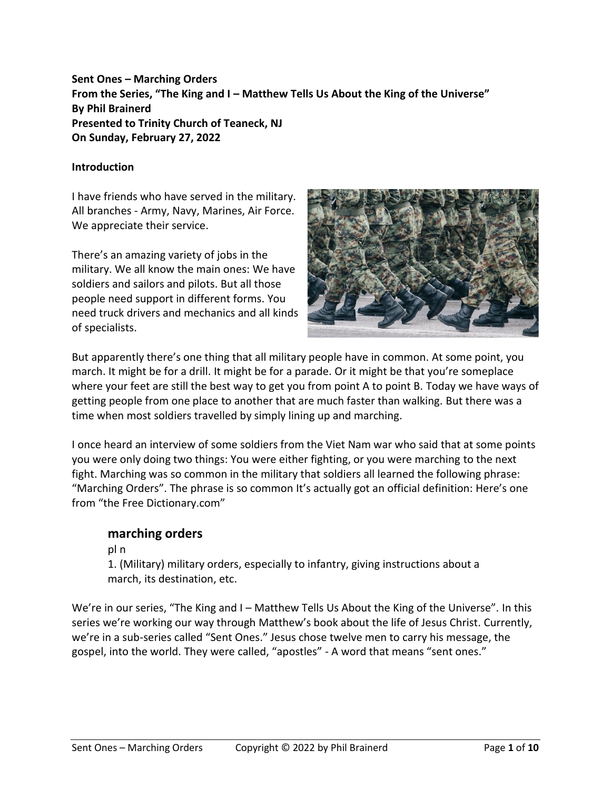**Sent Ones – Marching Orders From the Series, "The King and I – Matthew Tells Us About the King of the Universe" By Phil Brainerd Presented to Trinity Church of Teaneck, NJ On Sunday, February 27, 2022**

#### **Introduction**

I have friends who have served in the military. All branches - Army, Navy, Marines, Air Force. We appreciate their service.

There's an amazing variety of jobs in the military. We all know the main ones: We have soldiers and sailors and pilots. But all those people need support in different forms. You need truck drivers and mechanics and all kinds of specialists.



But apparently there's one thing that all military people have in common. At some point, you march. It might be for a drill. It might be for a parade. Or it might be that you're someplace where your feet are still the best way to get you from point A to point B. Today we have ways of getting people from one place to another that are much faster than walking. But there was a time when most soldiers travelled by simply lining up and marching.

I once heard an interview of some soldiers from the Viet Nam war who said that at some points you were only doing two things: You were either fighting, or you were marching to the next fight. Marching was so common in the military that soldiers all learned the following phrase: "Marching Orders". The phrase is so common It's actually got an official definition: Here's one from "the Free Dictionary.com"

## **marching orders**

pl n

1. (Military) military orders, especially to infantry, giving instructions about a march, its destination, etc.

We're in our series, "The King and I - Matthew Tells Us About the King of the Universe". In this series we're working our way through Matthew's book about the life of Jesus Christ. Currently, we're in a sub-series called "Sent Ones." Jesus chose twelve men to carry his message, the gospel, into the world. They were called, "apostles" - A word that means "sent ones."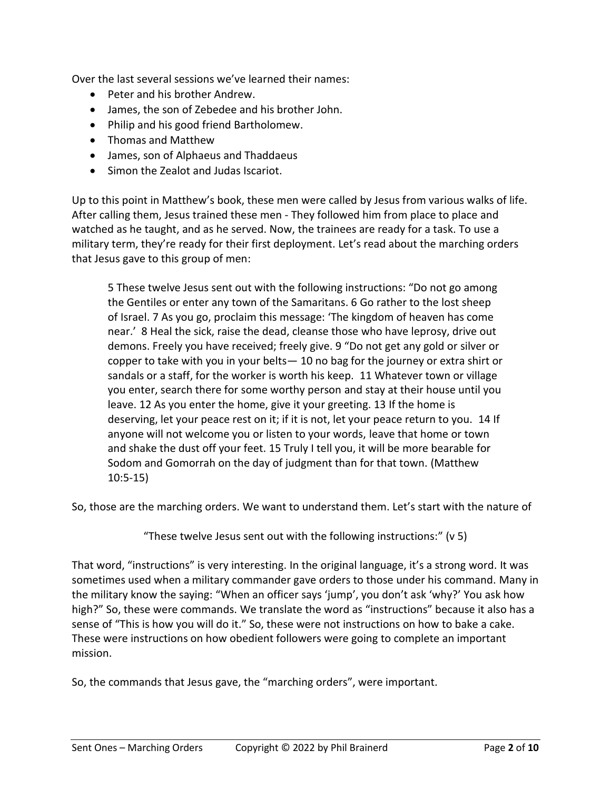Over the last several sessions we've learned their names:

- Peter and his brother Andrew.
- James, the son of Zebedee and his brother John.
- Philip and his good friend Bartholomew.
- Thomas and Matthew
- James, son of Alphaeus and Thaddaeus
- Simon the Zealot and Judas Iscariot.

Up to this point in Matthew's book, these men were called by Jesus from various walks of life. After calling them, Jesus trained these men - They followed him from place to place and watched as he taught, and as he served. Now, the trainees are ready for a task. To use a military term, they're ready for their first deployment. Let's read about the marching orders that Jesus gave to this group of men:

5 These twelve Jesus sent out with the following instructions: "Do not go among the Gentiles or enter any town of the Samaritans. 6 Go rather to the lost sheep of Israel. 7 As you go, proclaim this message: 'The kingdom of heaven has come near.' 8 Heal the sick, raise the dead, cleanse those who have leprosy, drive out demons. Freely you have received; freely give. 9 "Do not get any gold or silver or copper to take with you in your belts— 10 no bag for the journey or extra shirt or sandals or a staff, for the worker is worth his keep. 11 Whatever town or village you enter, search there for some worthy person and stay at their house until you leave. 12 As you enter the home, give it your greeting. 13 If the home is deserving, let your peace rest on it; if it is not, let your peace return to you. 14 If anyone will not welcome you or listen to your words, leave that home or town and shake the dust off your feet. 15 Truly I tell you, it will be more bearable for Sodom and Gomorrah on the day of judgment than for that town. (Matthew 10:5-15)

So, those are the marching orders. We want to understand them. Let's start with the nature of

"These twelve Jesus sent out with the following instructions:" (v 5)

That word, "instructions" is very interesting. In the original language, it's a strong word. It was sometimes used when a military commander gave orders to those under his command. Many in the military know the saying: "When an officer says 'jump', you don't ask 'why?' You ask how high?" So, these were commands. We translate the word as "instructions" because it also has a sense of "This is how you will do it." So, these were not instructions on how to bake a cake. These were instructions on how obedient followers were going to complete an important mission.

So, the commands that Jesus gave, the "marching orders", were important.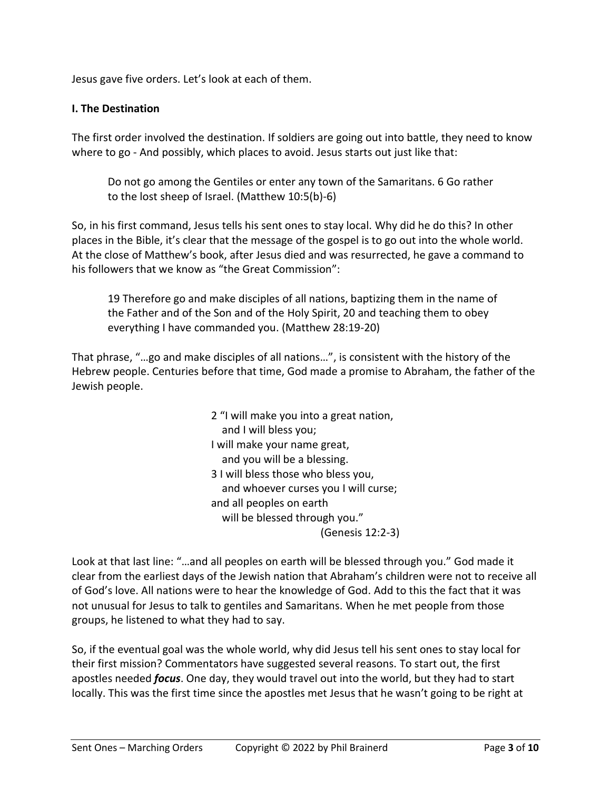Jesus gave five orders. Let's look at each of them.

#### **I. The Destination**

The first order involved the destination. If soldiers are going out into battle, they need to know where to go - And possibly, which places to avoid. Jesus starts out just like that:

Do not go among the Gentiles or enter any town of the Samaritans. 6 Go rather to the lost sheep of Israel. (Matthew 10:5(b)-6)

So, in his first command, Jesus tells his sent ones to stay local. Why did he do this? In other places in the Bible, it's clear that the message of the gospel is to go out into the whole world. At the close of Matthew's book, after Jesus died and was resurrected, he gave a command to his followers that we know as "the Great Commission":

19 Therefore go and make disciples of all nations, baptizing them in the name of the Father and of the Son and of the Holy Spirit, 20 and teaching them to obey everything I have commanded you. (Matthew 28:19-20)

That phrase, "…go and make disciples of all nations…", is consistent with the history of the Hebrew people. Centuries before that time, God made a promise to Abraham, the father of the Jewish people.

> 2 "I will make you into a great nation, and I will bless you; I will make your name great, and you will be a blessing. 3 I will bless those who bless you, and whoever curses you I will curse; and all peoples on earth will be blessed through you." (Genesis 12:2-3)

Look at that last line: "…and all peoples on earth will be blessed through you." God made it clear from the earliest days of the Jewish nation that Abraham's children were not to receive all of God's love. All nations were to hear the knowledge of God. Add to this the fact that it was not unusual for Jesus to talk to gentiles and Samaritans. When he met people from those groups, he listened to what they had to say.

So, if the eventual goal was the whole world, why did Jesus tell his sent ones to stay local for their first mission? Commentators have suggested several reasons. To start out, the first apostles needed *focus*. One day, they would travel out into the world, but they had to start locally. This was the first time since the apostles met Jesus that he wasn't going to be right at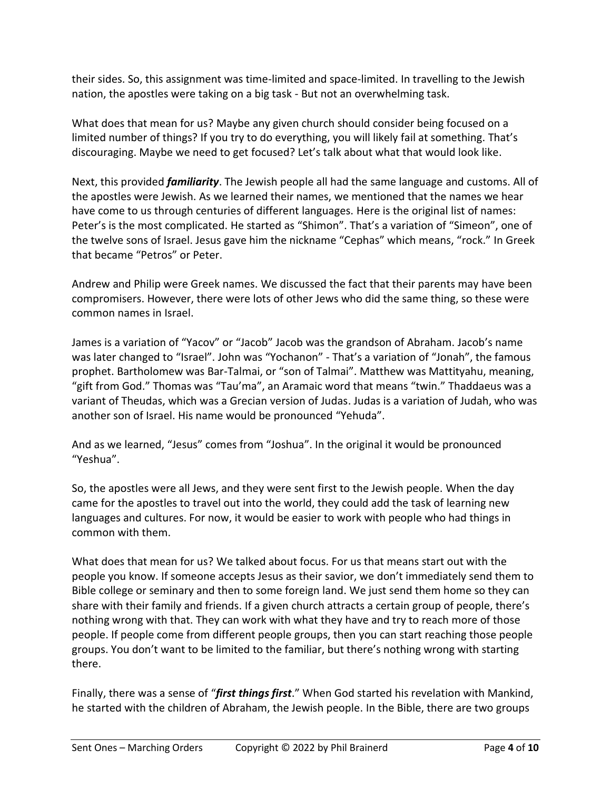their sides. So, this assignment was time-limited and space-limited. In travelling to the Jewish nation, the apostles were taking on a big task - But not an overwhelming task.

What does that mean for us? Maybe any given church should consider being focused on a limited number of things? If you try to do everything, you will likely fail at something. That's discouraging. Maybe we need to get focused? Let's talk about what that would look like.

Next, this provided *familiarity*. The Jewish people all had the same language and customs. All of the apostles were Jewish. As we learned their names, we mentioned that the names we hear have come to us through centuries of different languages. Here is the original list of names: Peter's is the most complicated. He started as "Shimon". That's a variation of "Simeon", one of the twelve sons of Israel. Jesus gave him the nickname "Cephas" which means, "rock." In Greek that became "Petros" or Peter.

Andrew and Philip were Greek names. We discussed the fact that their parents may have been compromisers. However, there were lots of other Jews who did the same thing, so these were common names in Israel.

James is a variation of "Yacov" or "Jacob" Jacob was the grandson of Abraham. Jacob's name was later changed to "Israel". John was "Yochanon" - That's a variation of "Jonah", the famous prophet. Bartholomew was Bar-Talmai, or "son of Talmai". Matthew was Mattityahu, meaning, "gift from God." Thomas was "Tau'ma", an Aramaic word that means "twin." Thaddaeus was a variant of Theudas, which was a Grecian version of Judas. Judas is a variation of Judah, who was another son of Israel. His name would be pronounced "Yehuda".

And as we learned, "Jesus" comes from "Joshua". In the original it would be pronounced "Yeshua".

So, the apostles were all Jews, and they were sent first to the Jewish people. When the day came for the apostles to travel out into the world, they could add the task of learning new languages and cultures. For now, it would be easier to work with people who had things in common with them.

What does that mean for us? We talked about focus. For us that means start out with the people you know. If someone accepts Jesus as their savior, we don't immediately send them to Bible college or seminary and then to some foreign land. We just send them home so they can share with their family and friends. If a given church attracts a certain group of people, there's nothing wrong with that. They can work with what they have and try to reach more of those people. If people come from different people groups, then you can start reaching those people groups. You don't want to be limited to the familiar, but there's nothing wrong with starting there.

Finally, there was a sense of "*first things first*." When God started his revelation with Mankind, he started with the children of Abraham, the Jewish people. In the Bible, there are two groups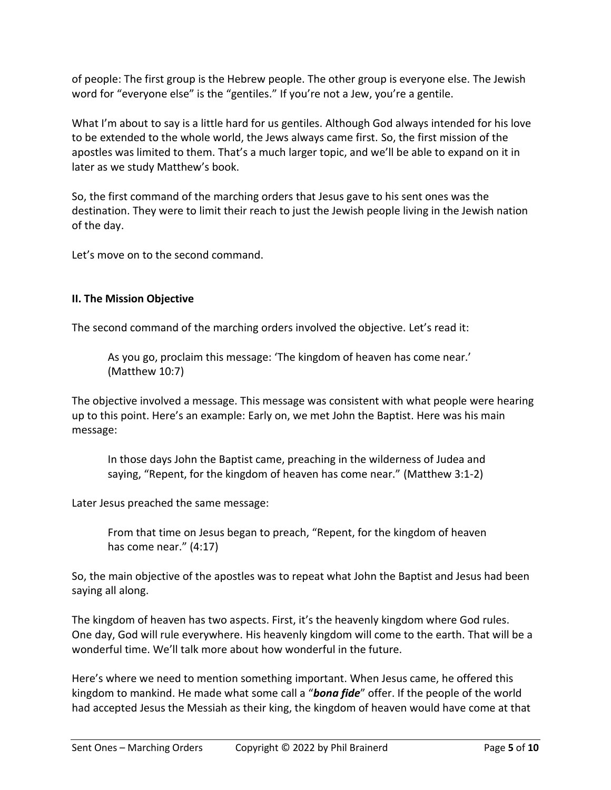of people: The first group is the Hebrew people. The other group is everyone else. The Jewish word for "everyone else" is the "gentiles." If you're not a Jew, you're a gentile.

What I'm about to say is a little hard for us gentiles. Although God always intended for his love to be extended to the whole world, the Jews always came first. So, the first mission of the apostles was limited to them. That's a much larger topic, and we'll be able to expand on it in later as we study Matthew's book.

So, the first command of the marching orders that Jesus gave to his sent ones was the destination. They were to limit their reach to just the Jewish people living in the Jewish nation of the day.

Let's move on to the second command.

## **II. The Mission Objective**

The second command of the marching orders involved the objective. Let's read it:

As you go, proclaim this message: 'The kingdom of heaven has come near.' (Matthew 10:7)

The objective involved a message. This message was consistent with what people were hearing up to this point. Here's an example: Early on, we met John the Baptist. Here was his main message:

In those days John the Baptist came, preaching in the wilderness of Judea and saying, "Repent, for the kingdom of heaven has come near." (Matthew 3:1-2)

Later Jesus preached the same message:

From that time on Jesus began to preach, "Repent, for the kingdom of heaven has come near." (4:17)

So, the main objective of the apostles was to repeat what John the Baptist and Jesus had been saying all along.

The kingdom of heaven has two aspects. First, it's the heavenly kingdom where God rules. One day, God will rule everywhere. His heavenly kingdom will come to the earth. That will be a wonderful time. We'll talk more about how wonderful in the future.

Here's where we need to mention something important. When Jesus came, he offered this kingdom to mankind. He made what some call a "*bona fide*" offer. If the people of the world had accepted Jesus the Messiah as their king, the kingdom of heaven would have come at that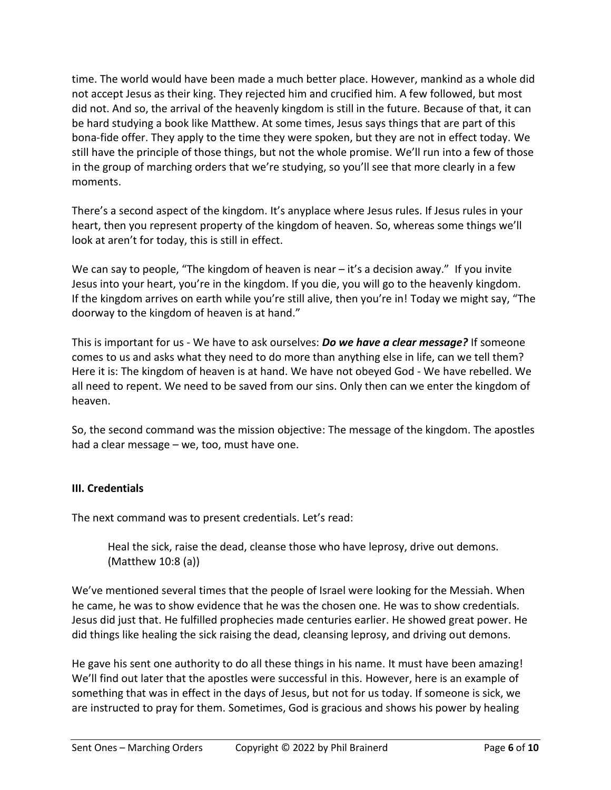time. The world would have been made a much better place. However, mankind as a whole did not accept Jesus as their king. They rejected him and crucified him. A few followed, but most did not. And so, the arrival of the heavenly kingdom is still in the future. Because of that, it can be hard studying a book like Matthew. At some times, Jesus says things that are part of this bona-fide offer. They apply to the time they were spoken, but they are not in effect today. We still have the principle of those things, but not the whole promise. We'll run into a few of those in the group of marching orders that we're studying, so you'll see that more clearly in a few moments.

There's a second aspect of the kingdom. It's anyplace where Jesus rules. If Jesus rules in your heart, then you represent property of the kingdom of heaven. So, whereas some things we'll look at aren't for today, this is still in effect.

We can say to people, "The kingdom of heaven is near  $-$  it's a decision away." If you invite Jesus into your heart, you're in the kingdom. If you die, you will go to the heavenly kingdom. If the kingdom arrives on earth while you're still alive, then you're in! Today we might say, "The doorway to the kingdom of heaven is at hand."

This is important for us - We have to ask ourselves: *Do we have a clear message?* If someone comes to us and asks what they need to do more than anything else in life, can we tell them? Here it is: The kingdom of heaven is at hand. We have not obeyed God - We have rebelled. We all need to repent. We need to be saved from our sins. Only then can we enter the kingdom of heaven.

So, the second command was the mission objective: The message of the kingdom. The apostles had a clear message – we, too, must have one.

## **III. Credentials**

The next command was to present credentials. Let's read:

Heal the sick, raise the dead, cleanse those who have leprosy, drive out demons. (Matthew 10:8 (a))

We've mentioned several times that the people of Israel were looking for the Messiah. When he came, he was to show evidence that he was the chosen one. He was to show credentials. Jesus did just that. He fulfilled prophecies made centuries earlier. He showed great power. He did things like healing the sick raising the dead, cleansing leprosy, and driving out demons.

He gave his sent one authority to do all these things in his name. It must have been amazing! We'll find out later that the apostles were successful in this. However, here is an example of something that was in effect in the days of Jesus, but not for us today. If someone is sick, we are instructed to pray for them. Sometimes, God is gracious and shows his power by healing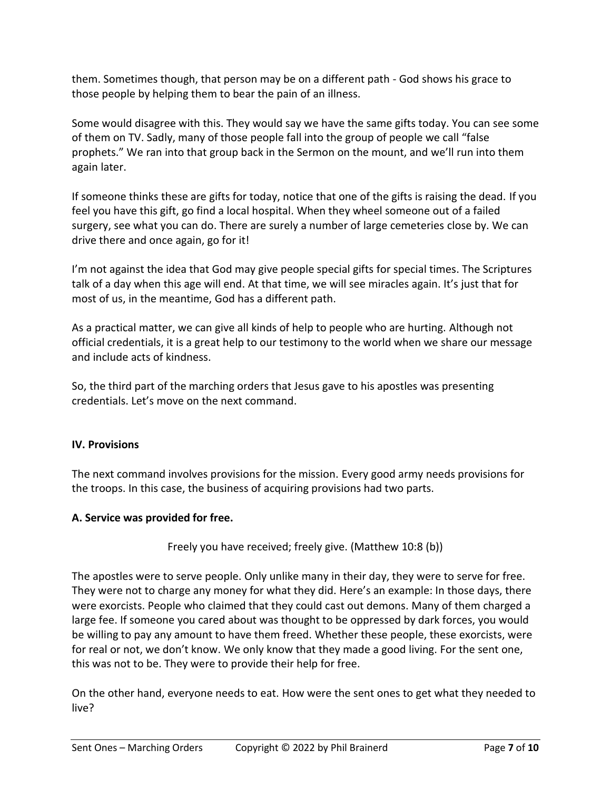them. Sometimes though, that person may be on a different path - God shows his grace to those people by helping them to bear the pain of an illness.

Some would disagree with this. They would say we have the same gifts today. You can see some of them on TV. Sadly, many of those people fall into the group of people we call "false prophets." We ran into that group back in the Sermon on the mount, and we'll run into them again later.

If someone thinks these are gifts for today, notice that one of the gifts is raising the dead. If you feel you have this gift, go find a local hospital. When they wheel someone out of a failed surgery, see what you can do. There are surely a number of large cemeteries close by. We can drive there and once again, go for it!

I'm not against the idea that God may give people special gifts for special times. The Scriptures talk of a day when this age will end. At that time, we will see miracles again. It's just that for most of us, in the meantime, God has a different path.

As a practical matter, we can give all kinds of help to people who are hurting. Although not official credentials, it is a great help to our testimony to the world when we share our message and include acts of kindness.

So, the third part of the marching orders that Jesus gave to his apostles was presenting credentials. Let's move on the next command.

## **IV. Provisions**

The next command involves provisions for the mission. Every good army needs provisions for the troops. In this case, the business of acquiring provisions had two parts.

## **A. Service was provided for free.**

Freely you have received; freely give. (Matthew 10:8 (b))

The apostles were to serve people. Only unlike many in their day, they were to serve for free. They were not to charge any money for what they did. Here's an example: In those days, there were exorcists. People who claimed that they could cast out demons. Many of them charged a large fee. If someone you cared about was thought to be oppressed by dark forces, you would be willing to pay any amount to have them freed. Whether these people, these exorcists, were for real or not, we don't know. We only know that they made a good living. For the sent one, this was not to be. They were to provide their help for free.

On the other hand, everyone needs to eat. How were the sent ones to get what they needed to live?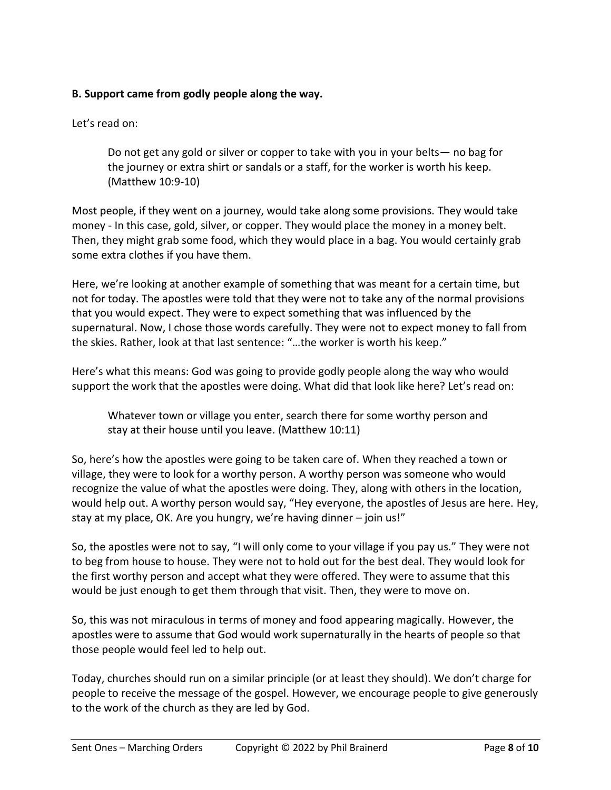# **B. Support came from godly people along the way.**

Let's read on:

Do not get any gold or silver or copper to take with you in your belts— no bag for the journey or extra shirt or sandals or a staff, for the worker is worth his keep. (Matthew 10:9-10)

Most people, if they went on a journey, would take along some provisions. They would take money - In this case, gold, silver, or copper. They would place the money in a money belt. Then, they might grab some food, which they would place in a bag. You would certainly grab some extra clothes if you have them.

Here, we're looking at another example of something that was meant for a certain time, but not for today. The apostles were told that they were not to take any of the normal provisions that you would expect. They were to expect something that was influenced by the supernatural. Now, I chose those words carefully. They were not to expect money to fall from the skies. Rather, look at that last sentence: "…the worker is worth his keep."

Here's what this means: God was going to provide godly people along the way who would support the work that the apostles were doing. What did that look like here? Let's read on:

Whatever town or village you enter, search there for some worthy person and stay at their house until you leave. (Matthew 10:11)

So, here's how the apostles were going to be taken care of. When they reached a town or village, they were to look for a worthy person. A worthy person was someone who would recognize the value of what the apostles were doing. They, along with others in the location, would help out. A worthy person would say, "Hey everyone, the apostles of Jesus are here. Hey, stay at my place, OK. Are you hungry, we're having dinner – join us!"

So, the apostles were not to say, "I will only come to your village if you pay us." They were not to beg from house to house. They were not to hold out for the best deal. They would look for the first worthy person and accept what they were offered. They were to assume that this would be just enough to get them through that visit. Then, they were to move on.

So, this was not miraculous in terms of money and food appearing magically. However, the apostles were to assume that God would work supernaturally in the hearts of people so that those people would feel led to help out.

Today, churches should run on a similar principle (or at least they should). We don't charge for people to receive the message of the gospel. However, we encourage people to give generously to the work of the church as they are led by God.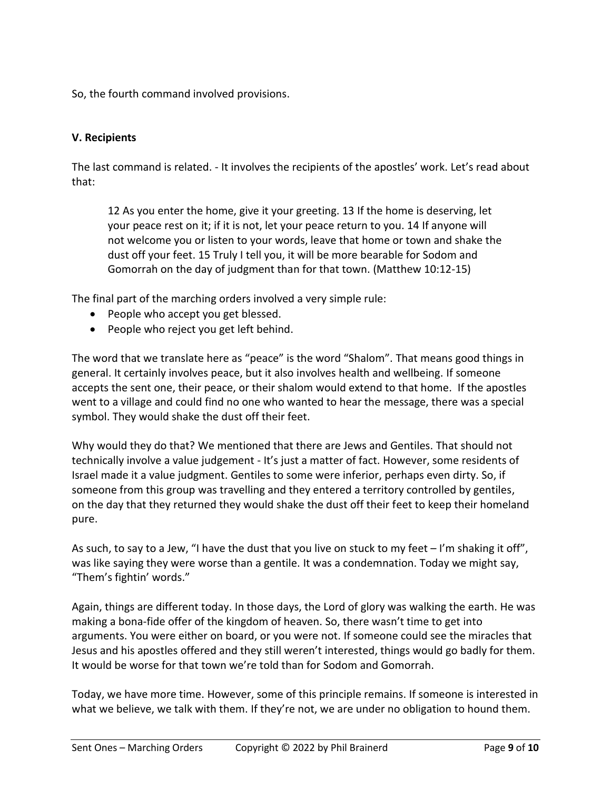So, the fourth command involved provisions.

# **V. Recipients**

The last command is related. - It involves the recipients of the apostles' work. Let's read about that:

12 As you enter the home, give it your greeting. 13 If the home is deserving, let your peace rest on it; if it is not, let your peace return to you. 14 If anyone will not welcome you or listen to your words, leave that home or town and shake the dust off your feet. 15 Truly I tell you, it will be more bearable for Sodom and Gomorrah on the day of judgment than for that town. (Matthew 10:12-15)

The final part of the marching orders involved a very simple rule:

- People who accept you get blessed.
- People who reject you get left behind.

The word that we translate here as "peace" is the word "Shalom". That means good things in general. It certainly involves peace, but it also involves health and wellbeing. If someone accepts the sent one, their peace, or their shalom would extend to that home. If the apostles went to a village and could find no one who wanted to hear the message, there was a special symbol. They would shake the dust off their feet.

Why would they do that? We mentioned that there are Jews and Gentiles. That should not technically involve a value judgement - It's just a matter of fact. However, some residents of Israel made it a value judgment. Gentiles to some were inferior, perhaps even dirty. So, if someone from this group was travelling and they entered a territory controlled by gentiles, on the day that they returned they would shake the dust off their feet to keep their homeland pure.

As such, to say to a Jew, "I have the dust that you live on stuck to my feet – I'm shaking it off", was like saying they were worse than a gentile. It was a condemnation. Today we might say, "Them's fightin' words."

Again, things are different today. In those days, the Lord of glory was walking the earth. He was making a bona-fide offer of the kingdom of heaven. So, there wasn't time to get into arguments. You were either on board, or you were not. If someone could see the miracles that Jesus and his apostles offered and they still weren't interested, things would go badly for them. It would be worse for that town we're told than for Sodom and Gomorrah.

Today, we have more time. However, some of this principle remains. If someone is interested in what we believe, we talk with them. If they're not, we are under no obligation to hound them.